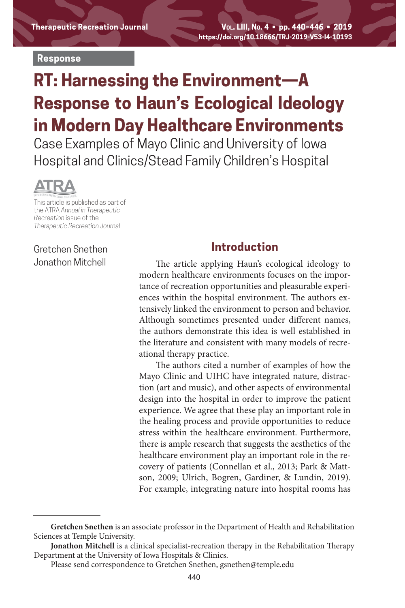**Response**

# **RT: Harnessing the Environment—A Response to Haun's Ecological Ideology in Modern Day Healthcare Environments**

Case Examples of Mayo Clinic and University of Iowa Hospital and Clinics/Stead Family Children's Hospital



This article is published as part of the ATRA *Annual in Therapeutic Recreation* issue of the *Therapeutic Recreation Journal*.

Gretchen Snethen Jonathon Mitchell

## **Introduction**

The article applying Haun's ecological ideology to modern healthcare environments focuses on the importance of recreation opportunities and pleasurable experiences within the hospital environment. The authors extensively linked the environment to person and behavior. Although sometimes presented under different names, the authors demonstrate this idea is well established in the literature and consistent with many models of recreational therapy practice.

The authors cited a number of examples of how the Mayo Clinic and UIHC have integrated nature, distraction (art and music), and other aspects of environmental design into the hospital in order to improve the patient experience. We agree that these play an important role in the healing process and provide opportunities to reduce stress within the healthcare environment. Furthermore, there is ample research that suggests the aesthetics of the healthcare environment play an important role in the recovery of patients (Connellan et al., 2013; Park & Mattson, 2009; Ulrich, Bogren, Gardiner, & Lundin, 2019). For example, integrating nature into hospital rooms has

**Gretchen Snethen** is an associate professor in the Department of Health and Rehabilitation Sciences at Temple University.

**Jonathon Mitchell** is a clinical specialist-recreation therapy in the Rehabilitation Therapy Department at the University of Iowa Hospitals & Clinics.

Please send correspondence to Gretchen Snethen, gsnethen@temple.edu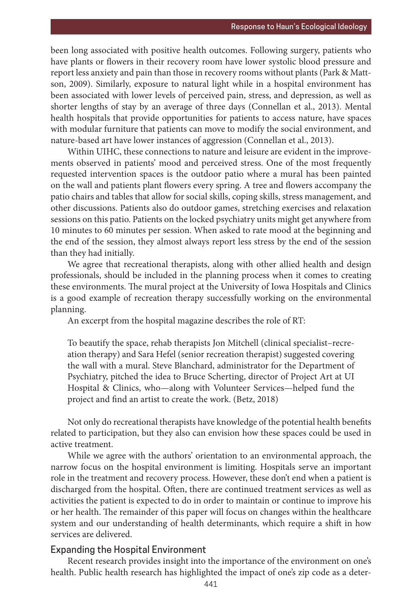been long associated with positive health outcomes. Following surgery, patients who have plants or flowers in their recovery room have lower systolic blood pressure and report less anxiety and pain than those in recovery rooms without plants (Park & Mattson, 2009). Similarly, exposure to natural light while in a hospital environment has been associated with lower levels of perceived pain, stress, and depression, as well as shorter lengths of stay by an average of three days (Connellan et al., 2013). Mental health hospitals that provide opportunities for patients to access nature, have spaces with modular furniture that patients can move to modify the social environment, and nature-based art have lower instances of aggression (Connellan et al., 2013).

Within UIHC, these connections to nature and leisure are evident in the improvements observed in patients' mood and perceived stress. One of the most frequently requested intervention spaces is the outdoor patio where a mural has been painted on the wall and patients plant flowers every spring. A tree and flowers accompany the patio chairs and tables that allow for social skills, coping skills, stress management, and other discussions. Patients also do outdoor games, stretching exercises and relaxation sessions on this patio. Patients on the locked psychiatry units might get anywhere from 10 minutes to 60 minutes per session. When asked to rate mood at the beginning and the end of the session, they almost always report less stress by the end of the session than they had initially.

We agree that recreational therapists, along with other allied health and design professionals, should be included in the planning process when it comes to creating these environments. The mural project at the University of Iowa Hospitals and Clinics is a good example of recreation therapy successfully working on the environmental planning.

An excerpt from the hospital magazine describes the role of RT:

To beautify the space, rehab therapists Jon Mitchell (clinical specialist–recreation therapy) and Sara Hefel (senior recreation therapist) suggested covering the wall with a mural. Steve Blanchard, administrator for the Department of Psychiatry, pitched the idea to Bruce Scherting, director of Project Art at UI Hospital & Clinics, who—along with Volunteer Services—helped fund the project and find an artist to create the work. (Betz, 2018)

Not only do recreational therapists have knowledge of the potential health benefits related to participation, but they also can envision how these spaces could be used in active treatment.

While we agree with the authors' orientation to an environmental approach, the narrow focus on the hospital environment is limiting. Hospitals serve an important role in the treatment and recovery process. However, these don't end when a patient is discharged from the hospital. Often, there are continued treatment services as well as activities the patient is expected to do in order to maintain or continue to improve his or her health. The remainder of this paper will focus on changes within the healthcare system and our understanding of health determinants, which require a shift in how services are delivered.

#### Expanding the Hospital Environment

Recent research provides insight into the importance of the environment on one's health. Public health research has highlighted the impact of one's zip code as a deter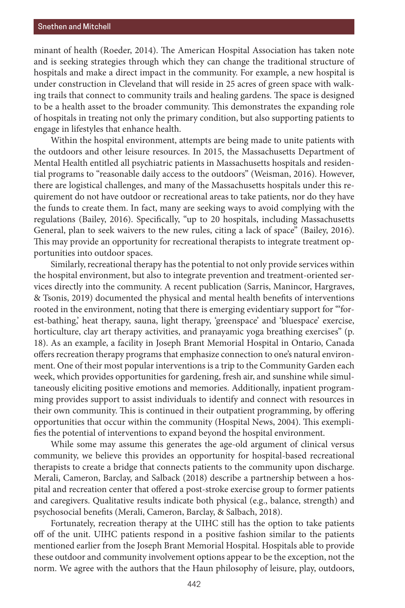minant of health (Roeder, 2014). The American Hospital Association has taken note and is seeking strategies through which they can change the traditional structure of hospitals and make a direct impact in the community. For example, a new hospital is under construction in Cleveland that will reside in 25 acres of green space with walking trails that connect to community trails and healing gardens. The space is designed to be a health asset to the broader community. This demonstrates the expanding role of hospitals in treating not only the primary condition, but also supporting patients to engage in lifestyles that enhance health.

Within the hospital environment, attempts are being made to unite patients with the outdoors and other leisure resources. In 2015, the Massachusetts Department of Mental Health entitled all psychiatric patients in Massachusetts hospitals and residential programs to "reasonable daily access to the outdoors" (Weisman, 2016). However, there are logistical challenges, and many of the Massachusetts hospitals under this requirement do not have outdoor or recreational areas to take patients, nor do they have the funds to create them. In fact, many are seeking ways to avoid complying with the regulations (Bailey, 2016). Specifically, "up to 20 hospitals, including Massachusetts General, plan to seek waivers to the new rules, citing a lack of space" (Bailey, 2016). This may provide an opportunity for recreational therapists to integrate treatment opportunities into outdoor spaces.

Similarly, recreational therapy has the potential to not only provide services within the hospital environment, but also to integrate prevention and treatment-oriented services directly into the community. A recent publication (Sarris, Manincor, Hargraves, & Tsonis, 2019) documented the physical and mental health benefits of interventions rooted in the environment, noting that there is emerging evidentiary support for "'forest-bathing,' heat therapy, sauna, light therapy, 'greenspace' and 'bluespace' exercise, horticulture, clay art therapy activities, and pranayamic yoga breathing exercises" (p. 18). As an example, a facility in Joseph Brant Memorial Hospital in Ontario, Canada offers recreation therapy programs that emphasize connection to one's natural environment. One of their most popular interventions is a trip to the Community Garden each week, which provides opportunities for gardening, fresh air, and sunshine while simultaneously eliciting positive emotions and memories. Additionally, inpatient programming provides support to assist individuals to identify and connect with resources in their own community. This is continued in their outpatient programming, by offering opportunities that occur within the community (Hospital News, 2004). This exemplifies the potential of interventions to expand beyond the hospital environment.

While some may assume this generates the age-old argument of clinical versus community, we believe this provides an opportunity for hospital-based recreational therapists to create a bridge that connects patients to the community upon discharge. Merali, Cameron, Barclay, and Salback (2018) describe a partnership between a hospital and recreation center that offered a post-stroke exercise group to former patients and caregivers. Qualitative results indicate both physical (e.g., balance, strength) and psychosocial benefits (Merali, Cameron, Barclay, & Salbach, 2018).

Fortunately, recreation therapy at the UIHC still has the option to take patients off of the unit. UIHC patients respond in a positive fashion similar to the patients mentioned earlier from the Joseph Brant Memorial Hospital. Hospitals able to provide these outdoor and community involvement options appear to be the exception, not the norm. We agree with the authors that the Haun philosophy of leisure, play, outdoors,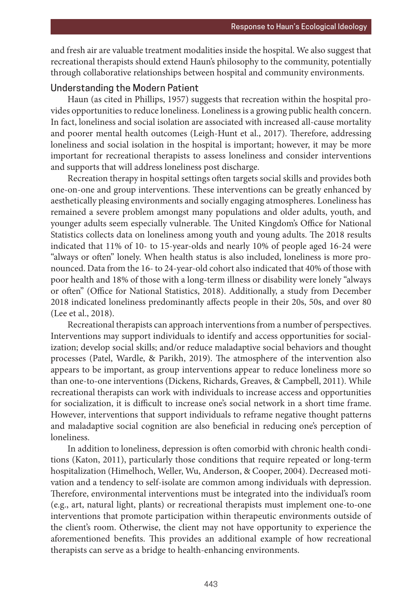and fresh air are valuable treatment modalities inside the hospital. We also suggest that recreational therapists should extend Haun's philosophy to the community, potentially through collaborative relationships between hospital and community environments.

#### Understanding the Modern Patient

Haun (as cited in Phillips, 1957) suggests that recreation within the hospital provides opportunities to reduce loneliness. Loneliness is a growing public health concern. In fact, loneliness and social isolation are associated with increased all-cause mortality and poorer mental health outcomes (Leigh-Hunt et al., 2017). Therefore, addressing loneliness and social isolation in the hospital is important; however, it may be more important for recreational therapists to assess loneliness and consider interventions and supports that will address loneliness post discharge.

Recreation therapy in hospital settings often targets social skills and provides both one-on-one and group interventions. These interventions can be greatly enhanced by aesthetically pleasing environments and socially engaging atmospheres. Loneliness has remained a severe problem amongst many populations and older adults, youth, and younger adults seem especially vulnerable. The United Kingdom's Office for National Statistics collects data on loneliness among youth and young adults. The 2018 results indicated that 11% of 10- to 15-year-olds and nearly 10% of people aged 16-24 were "always or often" lonely. When health status is also included, loneliness is more pronounced. Data from the 16- to 24-year-old cohort also indicated that 40% of those with poor health and 18% of those with a long-term illness or disability were lonely "always or often" (Office for National Statistics, 2018). Additionally, a study from December 2018 indicated loneliness predominantly affects people in their 20s, 50s, and over 80 (Lee et al., 2018).

Recreational therapists can approach interventions from a number of perspectives. Interventions may support individuals to identify and access opportunities for socialization; develop social skills; and/or reduce maladaptive social behaviors and thought processes (Patel, Wardle, & Parikh, 2019). The atmosphere of the intervention also appears to be important, as group interventions appear to reduce loneliness more so than one-to-one interventions (Dickens, Richards, Greaves, & Campbell, 2011). While recreational therapists can work with individuals to increase access and opportunities for socialization, it is difficult to increase one's social network in a short time frame. However, interventions that support individuals to reframe negative thought patterns and maladaptive social cognition are also beneficial in reducing one's perception of loneliness.

In addition to loneliness, depression is often comorbid with chronic health conditions (Katon, 2011), particularly those conditions that require repeated or long-term hospitalization (Himelhoch, Weller, Wu, Anderson, & Cooper, 2004). Decreased motivation and a tendency to self-isolate are common among individuals with depression. Therefore, environmental interventions must be integrated into the individual's room (e.g., art, natural light, plants) or recreational therapists must implement one-to-one interventions that promote participation within therapeutic environments outside of the client's room. Otherwise, the client may not have opportunity to experience the aforementioned benefits. This provides an additional example of how recreational therapists can serve as a bridge to health-enhancing environments.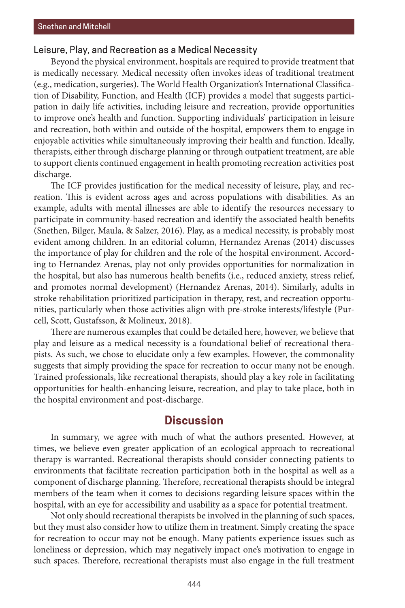#### Leisure, Play, and Recreation as a Medical Necessity

Beyond the physical environment, hospitals are required to provide treatment that is medically necessary. Medical necessity often invokes ideas of traditional treatment (e.g., medication, surgeries). The World Health Organization's International Classification of Disability, Function, and Health (ICF) provides a model that suggests participation in daily life activities, including leisure and recreation, provide opportunities to improve one's health and function. Supporting individuals' participation in leisure and recreation, both within and outside of the hospital, empowers them to engage in enjoyable activities while simultaneously improving their health and function. Ideally, therapists, either through discharge planning or through outpatient treatment, are able to support clients continued engagement in health promoting recreation activities post discharge.

The ICF provides justification for the medical necessity of leisure, play, and recreation. This is evident across ages and across populations with disabilities. As an example, adults with mental illnesses are able to identify the resources necessary to participate in community-based recreation and identify the associated health benefits (Snethen, Bilger, Maula, & Salzer, 2016). Play, as a medical necessity, is probably most evident among children. In an editorial column, Hernandez Arenas (2014) discusses the importance of play for children and the role of the hospital environment. According to Hernandez Arenas, play not only provides opportunities for normalization in the hospital, but also has numerous health benefits (i.e., reduced anxiety, stress relief, and promotes normal development) (Hernandez Arenas, 2014). Similarly, adults in stroke rehabilitation prioritized participation in therapy, rest, and recreation opportunities, particularly when those activities align with pre-stroke interests/lifestyle (Purcell, Scott, Gustafsson, & Molineux, 2018).

There are numerous examples that could be detailed here, however, we believe that play and leisure as a medical necessity is a foundational belief of recreational therapists. As such, we chose to elucidate only a few examples. However, the commonality suggests that simply providing the space for recreation to occur many not be enough. Trained professionals, like recreational therapists, should play a key role in facilitating opportunities for health-enhancing leisure, recreation, and play to take place, both in the hospital environment and post-discharge.

### **Discussion**

In summary, we agree with much of what the authors presented. However, at times, we believe even greater application of an ecological approach to recreational therapy is warranted. Recreational therapists should consider connecting patients to environments that facilitate recreation participation both in the hospital as well as a component of discharge planning. Therefore, recreational therapists should be integral members of the team when it comes to decisions regarding leisure spaces within the hospital, with an eye for accessibility and usability as a space for potential treatment.

Not only should recreational therapists be involved in the planning of such spaces, but they must also consider how to utilize them in treatment. Simply creating the space for recreation to occur may not be enough. Many patients experience issues such as loneliness or depression, which may negatively impact one's motivation to engage in such spaces. Therefore, recreational therapists must also engage in the full treatment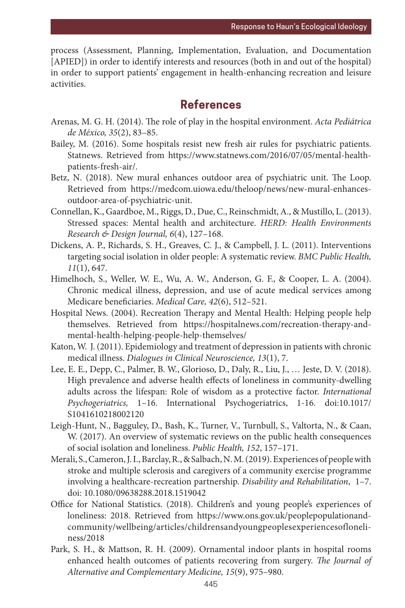process (Assessment, Planning, Implementation, Evaluation, and Documentation [APIED]) in order to identify interests and resources (both in and out of the hospital) in order to support patients' engagement in health-enhancing recreation and leisure activities.

## **References**

- Arenas, M. G. H. (2014). The role of play in the hospital environment. *Acta Pediátrica de México, 35*(2), 83–85.
- Bailey, M. (2016). Some hospitals resist new fresh air rules for psychiatric patients. Statnews. Retrieved from https://www.statnews.com/2016/07/05/mental-healthpatients-fresh-air/.
- Betz, N. (2018). New mural enhances outdoor area of psychiatric unit. The Loop. Retrieved from https://medcom.uiowa.edu/theloop/news/new-mural-enhancesoutdoor-area-of-psychiatric-unit.
- Connellan, K., Gaardboe, M., Riggs, D., Due, C., Reinschmidt, A., & Mustillo, L. (2013). Stressed spaces: Mental health and architecture. *HERD: Health Environments Research & Design Journal, 6*(4), 127–168.
- Dickens, A. P., Richards, S. H., Greaves, C. J., & Campbell, J. L. (2011). Interventions targeting social isolation in older people: A systematic review. *BMC Public Health, 11*(1), 647.
- Himelhoch, S., Weller, W. E., Wu, A. W., Anderson, G. F., & Cooper, L. A. (2004). Chronic medical illness, depression, and use of acute medical services among Medicare beneficiaries. *Medical Care, 42*(6), 512–521.
- Hospital News. (2004). Recreation Therapy and Mental Health: Helping people help themselves. Retrieved from https://hospitalnews.com/recreation-therapy-andmental-health-helping-people-help-themselves/
- Katon, W. J. (2011). Epidemiology and treatment of depression in patients with chronic medical illness. *Dialogues in Clinical Neuroscience, 13*(1), 7.
- Lee, E. E., Depp, C., Palmer, B. W., Glorioso, D., Daly, R., Liu, J., … Jeste, D. V. (2018). High prevalence and adverse health effects of loneliness in community-dwelling adults across the lifespan: Role of wisdom as a protective factor. *International Psychogeriatrics,* 1–16. International Psychogeriatrics, 1-16. doi:10.1017/ S1041610218002120
- Leigh-Hunt, N., Bagguley, D., Bash, K., Turner, V., Turnbull, S., Valtorta, N., & Caan, W. (2017). An overview of systematic reviews on the public health consequences of social isolation and loneliness. *Public Health, 152*, 157–171.
- Merali, S., Cameron, J. I., Barclay, R., & Salbach, N. M. (2019). Experiences of people with stroke and multiple sclerosis and caregivers of a community exercise programme involving a healthcare-recreation partnership. *Disability and Rehabilitation*, 1–7. doi: 10.1080/09638288.2018.1519042
- Office for National Statistics. (2018). Children's and young people's experiences of loneliness: 2018. Retrieved from https://www.ons.gov.uk/peoplepopulationandcommunity/wellbeing/articles/childrensandyoungpeoplesexperiencesofloneliness/2018
- Park, S. H., & Mattson, R. H. (2009). Ornamental indoor plants in hospital rooms enhanced health outcomes of patients recovering from surgery. *The Journal of Alternative and Complementary Medicine, 15*(9), 975–980.